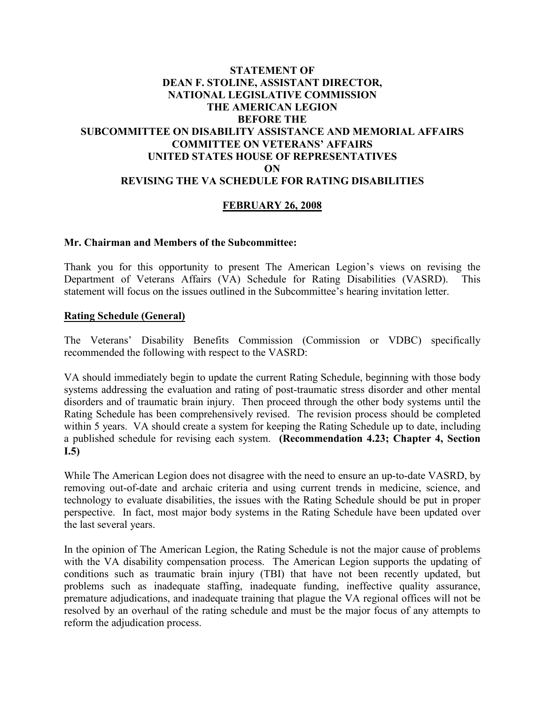## **STATEMENT OF DEAN F. STOLINE, ASSISTANT DIRECTOR, NATIONAL LEGISLATIVE COMMISSION THE AMERICAN LEGION BEFORE THE SUBCOMMITTEE ON DISABILITY ASSISTANCE AND MEMORIAL AFFAIRS COMMITTEE ON VETERANS' AFFAIRS UNITED STATES HOUSE OF REPRESENTATIVES ON REVISING THE VA SCHEDULE FOR RATING DISABILITIES**

# **FEBRUARY 26, 2008**

#### **Mr. Chairman and Members of the Subcommittee:**

Thank you for this opportunity to present The American Legion's views on revising the Department of Veterans Affairs (VA) Schedule for Rating Disabilities (VASRD). This statement will focus on the issues outlined in the Subcommittee's hearing invitation letter.

#### **Rating Schedule (General)**

The Veterans' Disability Benefits Commission (Commission or VDBC) specifically recommended the following with respect to the VASRD:

VA should immediately begin to update the current Rating Schedule, beginning with those body systems addressing the evaluation and rating of post-traumatic stress disorder and other mental disorders and of traumatic brain injury. Then proceed through the other body systems until the Rating Schedule has been comprehensively revised. The revision process should be completed within 5 years. VA should create a system for keeping the Rating Schedule up to date, including a published schedule for revising each system. **(Recommendation 4.23; Chapter 4, Section I.5)**

While The American Legion does not disagree with the need to ensure an up-to-date VASRD, by removing out-of-date and archaic criteria and using current trends in medicine, science, and technology to evaluate disabilities, the issues with the Rating Schedule should be put in proper perspective. In fact, most major body systems in the Rating Schedule have been updated over the last several years.

In the opinion of The American Legion, the Rating Schedule is not the major cause of problems with the VA disability compensation process. The American Legion supports the updating of conditions such as traumatic brain injury (TBI) that have not been recently updated, but problems such as inadequate staffing, inadequate funding, ineffective quality assurance, premature adjudications, and inadequate training that plague the VA regional offices will not be resolved by an overhaul of the rating schedule and must be the major focus of any attempts to reform the adjudication process.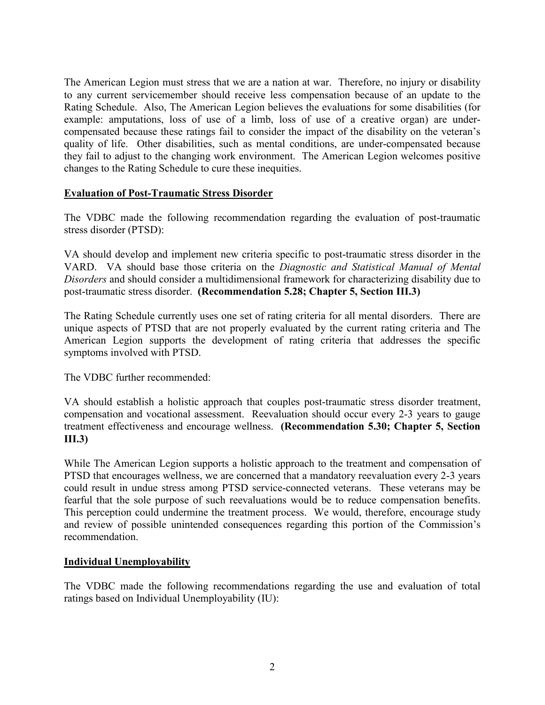The American Legion must stress that we are a nation at war. Therefore, no injury or disability to any current servicemember should receive less compensation because of an update to the Rating Schedule. Also, The American Legion believes the evaluations for some disabilities (for example: amputations, loss of use of a limb, loss of use of a creative organ) are undercompensated because these ratings fail to consider the impact of the disability on the veteran's quality of life. Other disabilities, such as mental conditions, are under-compensated because they fail to adjust to the changing work environment. The American Legion welcomes positive changes to the Rating Schedule to cure these inequities.

## **Evaluation of Post-Traumatic Stress Disorder**

The VDBC made the following recommendation regarding the evaluation of post-traumatic stress disorder (PTSD):

VA should develop and implement new criteria specific to post-traumatic stress disorder in the VARD. VA should base those criteria on the *Diagnostic and Statistical Manual of Mental Disorders* and should consider a multidimensional framework for characterizing disability due to post-traumatic stress disorder. **(Recommendation 5.28; Chapter 5, Section III.3)**

The Rating Schedule currently uses one set of rating criteria for all mental disorders. There are unique aspects of PTSD that are not properly evaluated by the current rating criteria and The American Legion supports the development of rating criteria that addresses the specific symptoms involved with PTSD.

The VDBC further recommended:

VA should establish a holistic approach that couples post-traumatic stress disorder treatment, compensation and vocational assessment. Reevaluation should occur every 2-3 years to gauge treatment effectiveness and encourage wellness. **(Recommendation 5.30; Chapter 5, Section III.3)**

While The American Legion supports a holistic approach to the treatment and compensation of PTSD that encourages wellness, we are concerned that a mandatory reevaluation every 2-3 years could result in undue stress among PTSD service-connected veterans. These veterans may be fearful that the sole purpose of such reevaluations would be to reduce compensation benefits. This perception could undermine the treatment process. We would, therefore, encourage study and review of possible unintended consequences regarding this portion of the Commission's recommendation.

#### **Individual Unemployability**

The VDBC made the following recommendations regarding the use and evaluation of total ratings based on Individual Unemployability (IU):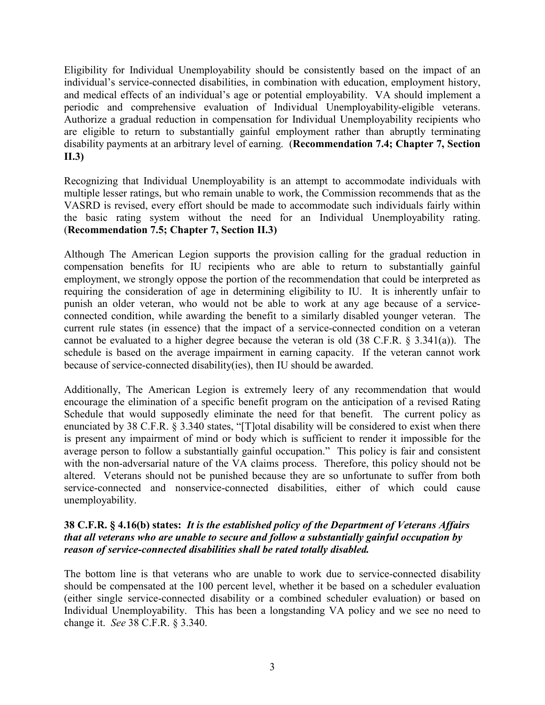Eligibility for Individual Unemployability should be consistently based on the impact of an individual's service-connected disabilities, in combination with education, employment history, and medical effects of an individual's age or potential employability. VA should implement a periodic and comprehensive evaluation of Individual Unemployability-eligible veterans. Authorize a gradual reduction in compensation for Individual Unemployability recipients who are eligible to return to substantially gainful employment rather than abruptly terminating disability payments at an arbitrary level of earning. (**Recommendation 7.4; Chapter 7, Section II.3)**

Recognizing that Individual Unemployability is an attempt to accommodate individuals with multiple lesser ratings, but who remain unable to work, the Commission recommends that as the VASRD is revised, every effort should be made to accommodate such individuals fairly within the basic rating system without the need for an Individual Unemployability rating. (**Recommendation 7.5; Chapter 7, Section II.3)**

Although The American Legion supports the provision calling for the gradual reduction in compensation benefits for IU recipients who are able to return to substantially gainful employment, we strongly oppose the portion of the recommendation that could be interpreted as requiring the consideration of age in determining eligibility to IU. It is inherently unfair to punish an older veteran, who would not be able to work at any age because of a serviceconnected condition, while awarding the benefit to a similarly disabled younger veteran. The current rule states (in essence) that the impact of a service-connected condition on a veteran cannot be evaluated to a higher degree because the veteran is old (38 C.F.R. § 3.341(a)). The schedule is based on the average impairment in earning capacity. If the veteran cannot work because of service-connected disability(ies), then IU should be awarded.

Additionally, The American Legion is extremely leery of any recommendation that would encourage the elimination of a specific benefit program on the anticipation of a revised Rating Schedule that would supposedly eliminate the need for that benefit. The current policy as enunciated by 38 C.F.R. § 3.340 states, "[T]otal disability will be considered to exist when there is present any impairment of mind or body which is sufficient to render it impossible for the average person to follow a substantially gainful occupation." This policy is fair and consistent with the non-adversarial nature of the VA claims process. Therefore, this policy should not be altered. Veterans should not be punished because they are so unfortunate to suffer from both service-connected and nonservice-connected disabilities, either of which could cause unemployability.

## **38 C.F.R. § 4.16(b) states:** *It is the established policy of the Department of Veterans Affairs that all veterans who are unable to secure and follow a substantially gainful occupation by reason of service-connected disabilities shall be rated totally disabled.*

The bottom line is that veterans who are unable to work due to service-connected disability should be compensated at the 100 percent level, whether it be based on a scheduler evaluation (either single service-connected disability or a combined scheduler evaluation) or based on Individual Unemployability. This has been a longstanding VA policy and we see no need to change it. *See* 38 C.F.R. § 3.340.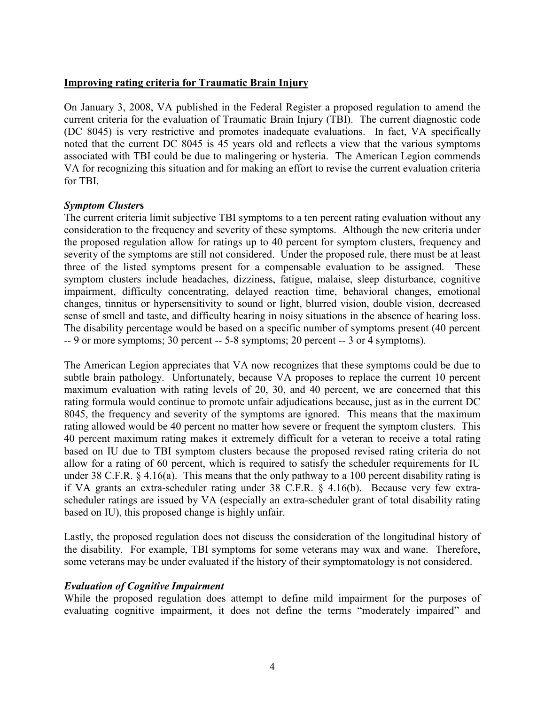### **Improving rating criteria for Traumatic Brain Injury**

On January 3, 2008, VA published in the Federal Register a proposed regulation to amend the current criteria for the evaluation of Traumatic Brain Injury (TBI). The current diagnostic code (DC 8045) is very restrictive and promotes inadequate evaluations. In fact, VA specifically noted that the current DC 8045 is 45 years old and reflects a view that the various symptoms associated with TBI could be due to malingering or hysteria. The American Legion commends VA for recognizing this situation and for making an effort to revise the current evaluation criteria for TBI.

## *Symptom Cluster***s**

The current criteria limit subjective TBI symptoms to a ten percent rating evaluation without any consideration to the frequency and severity of these symptoms. Although the new criteria under the proposed regulation allow for ratings up to 40 percent for symptom clusters, frequency and severity of the symptoms are still not considered. Under the proposed rule, there must be at least three of the listed symptoms present for a compensable evaluation to be assigned. These symptom clusters include headaches, dizziness, fatigue, malaise, sleep disturbance, cognitive impairment, difficulty concentrating, delayed reaction time, behavioral changes, emotional changes, tinnitus or hypersensitivity to sound or light, blurred vision, double vision, decreased sense of smell and taste, and difficulty hearing in noisy situations in the absence of hearing loss. The disability percentage would be based on a specific number of symptoms present (40 percent -- 9 or more symptoms; 30 percent -- 5-8 symptoms; 20 percent -- 3 or 4 symptoms).

The American Legion appreciates that VA now recognizes that these symptoms could be due to subtle brain pathology. Unfortunately, because VA proposes to replace the current 10 percent maximum evaluation with rating levels of 20, 30, and 40 percent, we are concerned that this rating formula would continue to promote unfair adjudications because, just as in the current DC 8045, the frequency and severity of the symptoms are ignored. This means that the maximum rating allowed would be 40 percent no matter how severe or frequent the symptom clusters. This 40 percent maximum rating makes it extremely difficult for a veteran to receive a total rating based on IU due to TBI symptom clusters because the proposed revised rating criteria do not allow for a rating of 60 percent, which is required to satisfy the scheduler requirements for IU under 38 C.F.R. § 4.16(a). This means that the only pathway to a 100 percent disability rating is if VA grants an extra-scheduler rating under 38 C.F.R. § 4.16(b). Because very few extrascheduler ratings are issued by VA (especially an extra-scheduler grant of total disability rating based on IU), this proposed change is highly unfair.

Lastly, the proposed regulation does not discuss the consideration of the longitudinal history of the disability. For example, TBI symptoms for some veterans may wax and wane. Therefore, some veterans may be under evaluated if the history of their symptomatology is not considered.

#### *Evaluation of Cognitive Impairment*

While the proposed regulation does attempt to define mild impairment for the purposes of evaluating cognitive impairment, it does not define the terms "moderately impaired" and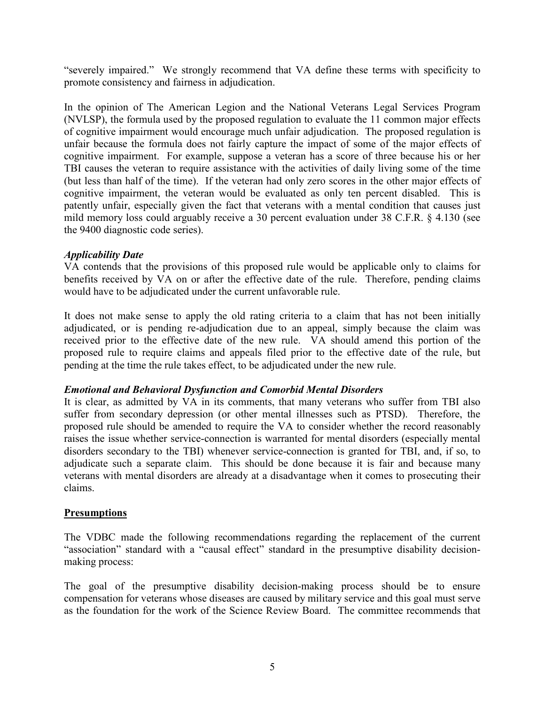"severely impaired." We strongly recommend that VA define these terms with specificity to promote consistency and fairness in adjudication.

In the opinion of The American Legion and the National Veterans Legal Services Program (NVLSP), the formula used by the proposed regulation to evaluate the 11 common major effects of cognitive impairment would encourage much unfair adjudication. The proposed regulation is unfair because the formula does not fairly capture the impact of some of the major effects of cognitive impairment. For example, suppose a veteran has a score of three because his or her TBI causes the veteran to require assistance with the activities of daily living some of the time (but less than half of the time). If the veteran had only zero scores in the other major effects of cognitive impairment, the veteran would be evaluated as only ten percent disabled. This is patently unfair, especially given the fact that veterans with a mental condition that causes just mild memory loss could arguably receive a 30 percent evaluation under 38 C.F.R. § 4.130 (see the 9400 diagnostic code series).

## *Applicability Date*

VA contends that the provisions of this proposed rule would be applicable only to claims for benefits received by VA on or after the effective date of the rule. Therefore, pending claims would have to be adjudicated under the current unfavorable rule.

It does not make sense to apply the old rating criteria to a claim that has not been initially adjudicated, or is pending re-adjudication due to an appeal, simply because the claim was received prior to the effective date of the new rule. VA should amend this portion of the proposed rule to require claims and appeals filed prior to the effective date of the rule, but pending at the time the rule takes effect, to be adjudicated under the new rule.

# *Emotional and Behavioral Dysfunction and Comorbid Mental Disorders*

It is clear, as admitted by VA in its comments, that many veterans who suffer from TBI also suffer from secondary depression (or other mental illnesses such as PTSD). Therefore, the proposed rule should be amended to require the VA to consider whether the record reasonably raises the issue whether service-connection is warranted for mental disorders (especially mental disorders secondary to the TBI) whenever service-connection is granted for TBI, and, if so, to adjudicate such a separate claim. This should be done because it is fair and because many veterans with mental disorders are already at a disadvantage when it comes to prosecuting their claims.

# **Presumptions**

The VDBC made the following recommendations regarding the replacement of the current "association" standard with a "causal effect" standard in the presumptive disability decisionmaking process:

The goal of the presumptive disability decision-making process should be to ensure compensation for veterans whose diseases are caused by military service and this goal must serve as the foundation for the work of the Science Review Board. The committee recommends that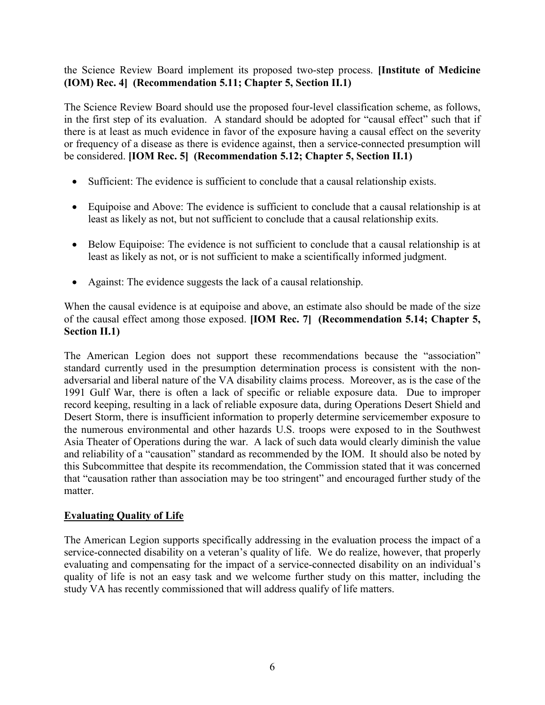# the Science Review Board implement its proposed two-step process. **[Institute of Medicine (IOM) Rec. 4] (Recommendation 5.11; Chapter 5, Section II.1)**

The Science Review Board should use the proposed four-level classification scheme, as follows, in the first step of its evaluation. A standard should be adopted for "causal effect" such that if there is at least as much evidence in favor of the exposure having a causal effect on the severity or frequency of a disease as there is evidence against, then a service-connected presumption will be considered. **[IOM Rec. 5] (Recommendation 5.12; Chapter 5, Section II.1)**

- Sufficient: The evidence is sufficient to conclude that a causal relationship exists.
- Equipoise and Above: The evidence is sufficient to conclude that a causal relationship is at least as likely as not, but not sufficient to conclude that a causal relationship exits.
- Below Equipoise: The evidence is not sufficient to conclude that a causal relationship is at least as likely as not, or is not sufficient to make a scientifically informed judgment.
- Against: The evidence suggests the lack of a causal relationship.

When the causal evidence is at equipoise and above, an estimate also should be made of the size of the causal effect among those exposed. **[IOM Rec. 7] (Recommendation 5.14; Chapter 5, Section II.1)**

The American Legion does not support these recommendations because the "association" standard currently used in the presumption determination process is consistent with the nonadversarial and liberal nature of the VA disability claims process. Moreover, as is the case of the 1991 Gulf War, there is often a lack of specific or reliable exposure data. Due to improper record keeping, resulting in a lack of reliable exposure data, during Operations Desert Shield and Desert Storm, there is insufficient information to properly determine servicemember exposure to the numerous environmental and other hazards U.S. troops were exposed to in the Southwest Asia Theater of Operations during the war. A lack of such data would clearly diminish the value and reliability of a "causation" standard as recommended by the IOM. It should also be noted by this Subcommittee that despite its recommendation, the Commission stated that it was concerned that "causation rather than association may be too stringent" and encouraged further study of the matter.

# **Evaluating Quality of Life**

The American Legion supports specifically addressing in the evaluation process the impact of a service-connected disability on a veteran's quality of life. We do realize, however, that properly evaluating and compensating for the impact of a service-connected disability on an individual's quality of life is not an easy task and we welcome further study on this matter, including the study VA has recently commissioned that will address qualify of life matters.